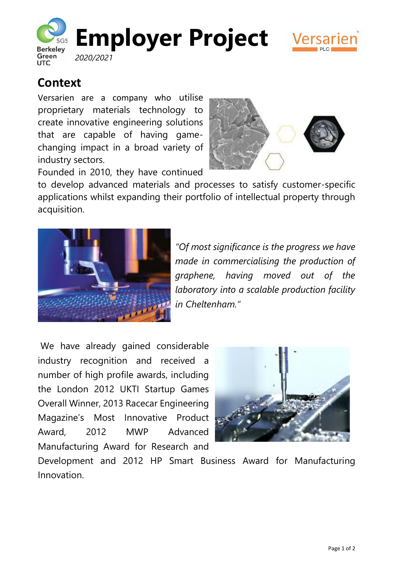



## **Context**

Versarien are a company who utilise proprietary materials technology to create innovative engineering solutions that are capable of having gamechanging impact in a broad variety of industry sectors.



Founded in 2010, they have continued

to develop advanced materials and processes to satisfy customer-specific applications whilst expanding their portfolio of intellectual property through acquisition.



*"Of most significance is the progress we have made in commercialising the production of graphene, having moved out of the laboratory into a scalable production facility in Cheltenham."*

We have already gained considerable industry recognition and received a number of high profile awards, including the London 2012 UKTI Startup Games Overall Winner, 2013 Racecar Engineering Magazine's Most Innovative Product Award, 2012 MWP Advanced Manufacturing Award for Research and



Development and 2012 HP Smart Business Award for Manufacturing Innovation.